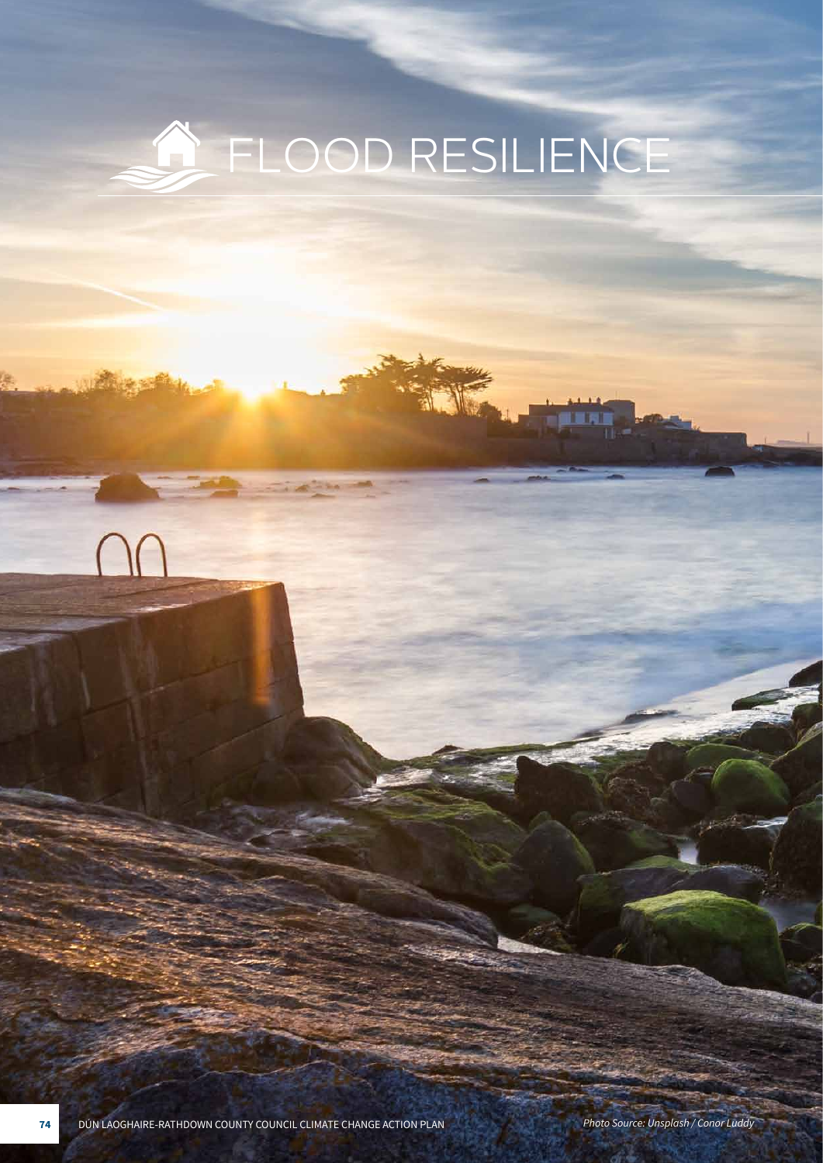# A FLOOD RESILIENCE

VE.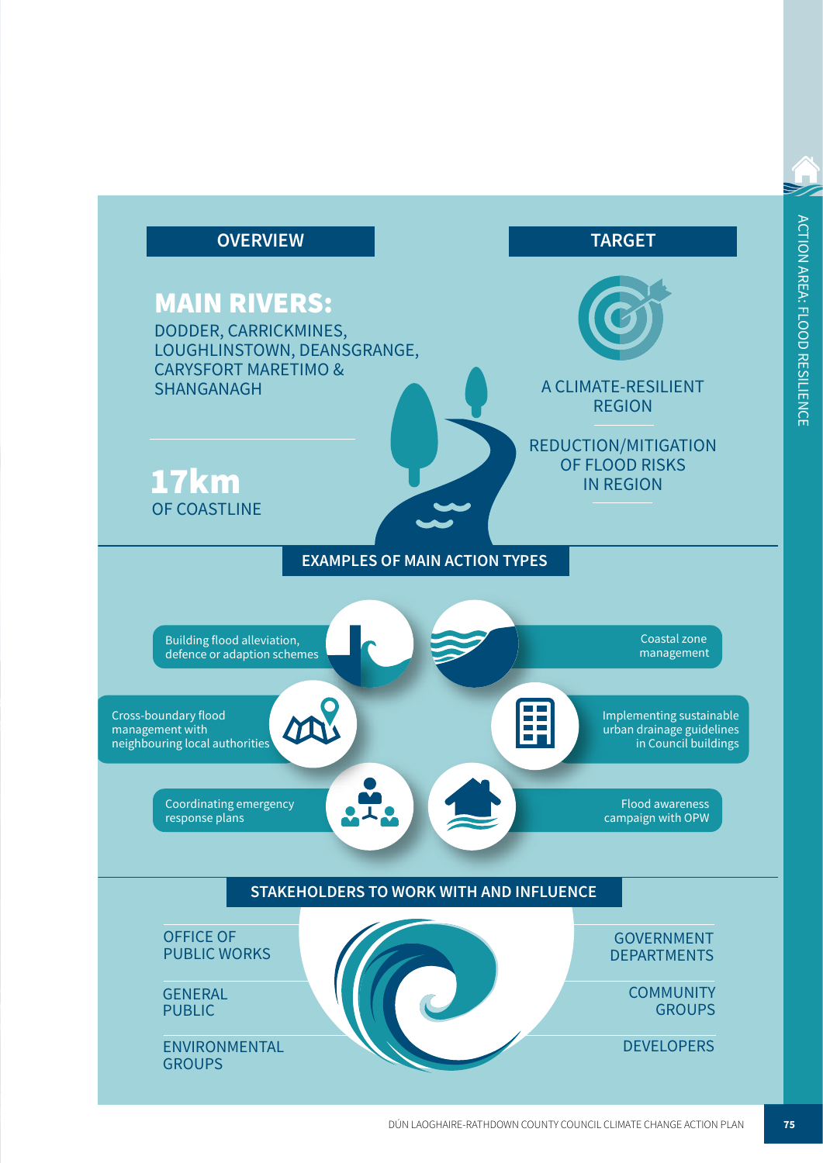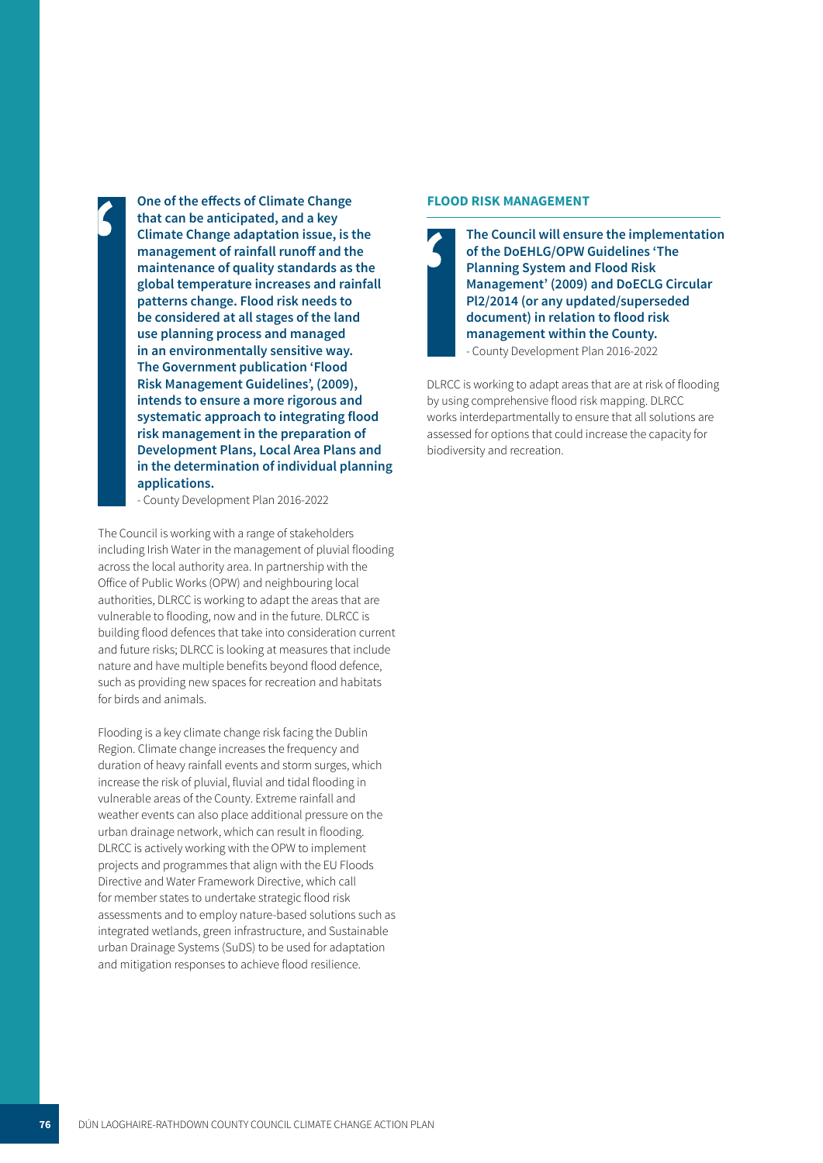**One of the effects of Climate Change that can be anticipated, and a key**<br>Climate Change adaptation issue **Climate Change adaptation issue, is the management of rainfall runoff and the maintenance of quality standards as the global temperature increases and rainfall patterns change. Flood risk needs to be considered at all stages of the land use planning process and managed in an environmentally sensitive way. The Government publication 'Flood Risk Management Guidelines', (2009), intends to ensure a more rigorous and systematic approach to integrating flood risk management in the preparation of Development Plans, Local Area Plans and in the determination of individual planning applications.** 

- County Development Plan 2016-2022

The Council is working with a range of stakeholders including Irish Water in the management of pluvial flooding across the local authority area. In partnership with the Office of Public Works (OPW) and neighbouring local authorities, DLRCC is working to adapt the areas that are vulnerable to flooding, now and in the future. DLRCC is building flood defences that take into consideration current and future risks; DLRCC is looking at measures that include nature and have multiple benefits beyond flood defence, such as providing new spaces for recreation and habitats for birds and animals.

Flooding is a key climate change risk facing the Dublin Region. Climate change increases the frequency and duration of heavy rainfall events and storm surges, which increase the risk of pluvial, fluvial and tidal flooding in vulnerable areas of the County. Extreme rainfall and weather events can also place additional pressure on the urban drainage network, which can result in flooding. DLRCC is actively working with the OPW to implement projects and programmes that align with the EU Floods Directive and Water Framework Directive, which call for member states to undertake strategic flood risk assessments and to employ nature-based solutions such as integrated wetlands, green infrastructure, and Sustainable urban Drainage Systems (SuDS) to be used for adaptation and mitigation responses to achieve flood resilience.

#### **FLOOD RISK MANAGEMENT**

**The Council will ensure the implementation of the DoEHLG/OPW Guidelines 'The**  i**Planning System and Flood Risk Management' (2009) and DoECLG Circular Pl2/2014 (or any updated/superseded document) in relation to flood risk management within the County.**  - County Development Plan 2016-2022

DLRCC is working to adapt areas that are at risk of flooding by using comprehensive flood risk mapping. DLRCC works interdepartmentally to ensure that all solutions are assessed for options that could increase the capacity for biodiversity and recreation.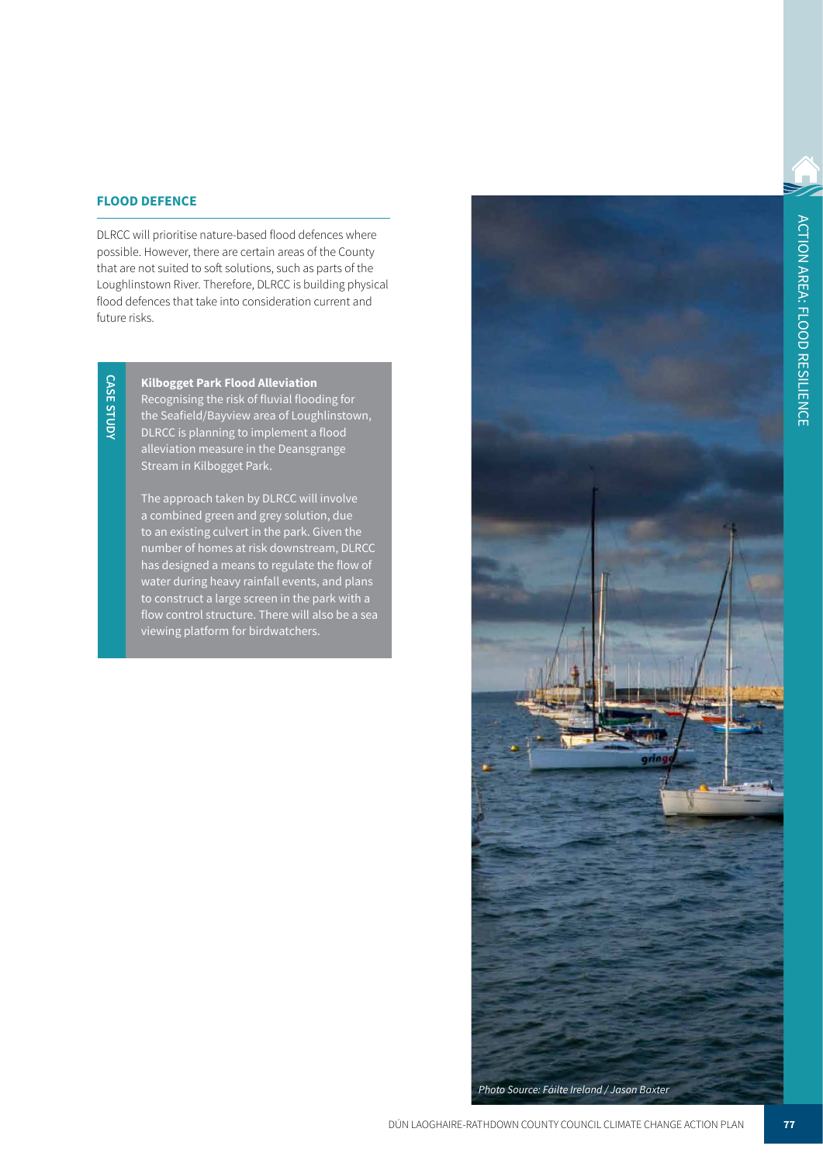### **FLOOD DEFENCE**

DLRCC will prioritise nature-based flood defences where possible. However, there are certain areas of the County that are not suited to soft solutions, such as parts of the Loughlinstown River. Therefore, DLRCC is building physical flood defences that take into consideration current and future risks.

**CASE STUDY CASE STUDY**

**Kilbogget Park Flood Alleviation**  Recognising the risk of fluvial flooding for the Seafield/Bayview area of Loughlinstown, DLRCC is planning to implement a flood alleviation measure in the Deansgrange Stream in Kilbogget Park.

The approach taken by DLRCC will involve a combined green and grey solution, due to an existing culvert in the park. Given the number of homes at risk downstream, DLRCC has designed a means to regulate the flow of water during heavy rainfall events, and plans to construct a large screen in the park with a flow control structure. There will also be a sea viewing platform for birdwatchers.

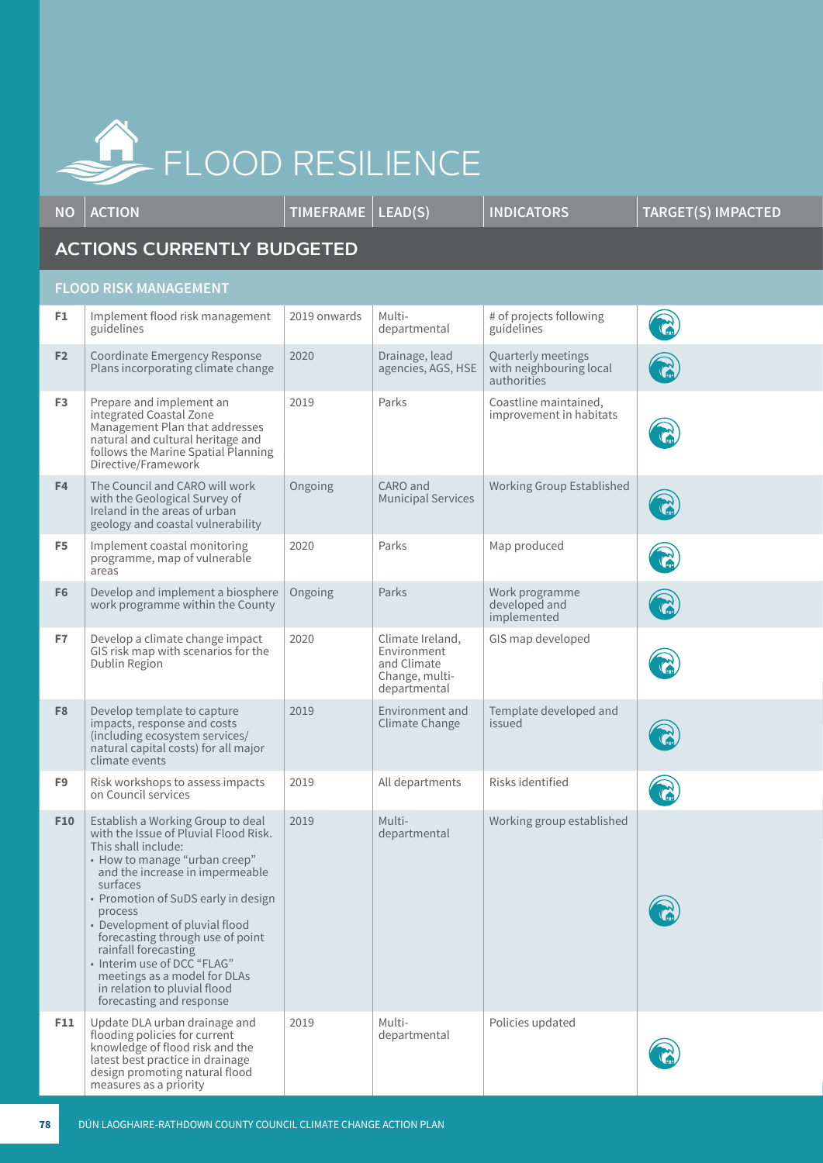

**NO ACTION TIMEFRAME LEAD(S) INDICATORS TARGET(S) IMPACTED**

## **ACTIONS CURRENTLY BUDGETED**

## **FLOOD RISK MANAGEMENT**

| F1              | Implement flood risk management<br>guidelines                                                                                                                                                                                                                                                                                                                                                                                                                | 2019 onwards | Multi-<br>departmental                                                           | # of projects following<br>guidelines                        |              |
|-----------------|--------------------------------------------------------------------------------------------------------------------------------------------------------------------------------------------------------------------------------------------------------------------------------------------------------------------------------------------------------------------------------------------------------------------------------------------------------------|--------------|----------------------------------------------------------------------------------|--------------------------------------------------------------|--------------|
| F <sub>2</sub>  | Coordinate Emergency Response<br>Plans incorporating climate change                                                                                                                                                                                                                                                                                                                                                                                          | 2020         | Drainage, lead<br>agencies, AGS, HSE                                             | Quarterly meetings<br>with neighbouring local<br>authorities |              |
| F <sub>3</sub>  | Prepare and implement an<br>integrated Coastal Zone<br>Management Plan that addresses<br>natural and cultural heritage and<br>follows the Marine Spatial Planning<br>Directive/Framework                                                                                                                                                                                                                                                                     | 2019         | Parks                                                                            | Coastline maintained,<br>improvement in habitats             |              |
| F <sub>4</sub>  | The Council and CARO will work<br>with the Geological Survey of<br>Ireland in the areas of urban<br>geology and coastal vulnerability                                                                                                                                                                                                                                                                                                                        | Ongoing      | CARO and<br><b>Municipal Services</b>                                            | Working Group Established                                    | $\mathbf{C}$ |
| F5              | Implement coastal monitoring<br>programme, map of vulnerable<br>areas                                                                                                                                                                                                                                                                                                                                                                                        | 2020         | Parks                                                                            | Map produced                                                 |              |
| F <sub>6</sub>  | Develop and implement a biosphere<br>work programme within the County                                                                                                                                                                                                                                                                                                                                                                                        | Ongoing      | Parks                                                                            | Work programme<br>developed and<br>implemented               | $\mathbb{C}$ |
| F7              | Develop a climate change impact<br>GIS risk map with scenarios for the<br>Dublin Region                                                                                                                                                                                                                                                                                                                                                                      | 2020         | Climate Ireland,<br>Environment<br>and Climate<br>Change, multi-<br>departmental | GIS map developed                                            |              |
| F <sub>8</sub>  | Develop template to capture<br>impacts, response and costs<br>(including ecosystem services/<br>natural capital costs) for all major<br>climate events                                                                                                                                                                                                                                                                                                       | 2019         | Environment and<br><b>Climate Change</b>                                         | Template developed and<br>issued                             |              |
| F9              | Risk workshops to assess impacts<br>on Council services                                                                                                                                                                                                                                                                                                                                                                                                      | 2019         | All departments                                                                  | Risks identified                                             | $\mathbb{C}$ |
| F <sub>10</sub> | Establish a Working Group to deal<br>with the Issue of Pluvial Flood Risk.<br>This shall include:<br>• How to manage "urban creep"<br>and the increase in impermeable<br>surfaces<br>• Promotion of SuDS early in design<br>process<br>• Development of pluvial flood<br>forecasting through use of point<br>rainfall forecasting<br>• Interim use of DCC "FLAG"<br>meetings as a model for DLAs<br>in relation to pluvial flood<br>forecasting and response | 2019         | Multi-<br>departmental                                                           | Working group established                                    |              |
| F11             | Update DLA urban drainage and<br>flooding policies for current<br>knowledge of flood risk and the<br>latest best practice in drainage<br>design promoting natural flood<br>measures as a priority                                                                                                                                                                                                                                                            | 2019         | Multi-<br>departmental                                                           | Policies updated                                             |              |